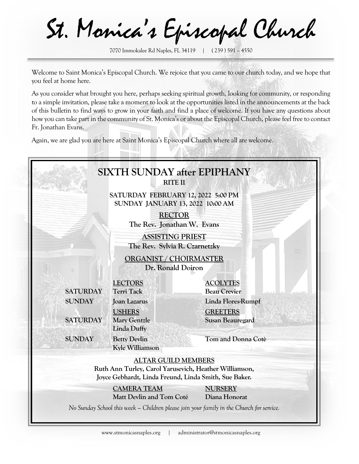St. Monica's Episcopal Church

7070 Immokalee Rd Naples, FL 34119 | ( 239 ) 591 – 4550

Welcome to Saint Monica's Episcopal Church. We rejoice that you came to our church today, and we hope that you feel at home here.

As you consider what brought you here, perhaps seeking spiritual growth, looking for community, or responding to a simple invitation, please take a moment to look at the opportunities listed in the announcements at the back of this bulletin to find ways to grow in your faith and find a place of welcome. If you have any questions about how you can take part in the community of St. Monica's or about the Episcopal Church, please feel free to contact Fr. Jonathan Evans.

Again, we are glad you are here at Saint Monica's Episcopal Church where all are welcome.

|                 | <b>RITE II</b>                                                                |                                                                                                                 |
|-----------------|-------------------------------------------------------------------------------|-----------------------------------------------------------------------------------------------------------------|
|                 | SATURDAY FEBRUARY 12, 2022 5:00 PM<br><b>SUNDAY JANUARY 13, 2022 10:00 AM</b> |                                                                                                                 |
|                 | <b>RECTOR</b><br>The Rev. Jonathan W. Evans                                   |                                                                                                                 |
|                 | <b>ASSISTING PRIEST</b><br>The Rev. Sylvia R. Czarnetzky                      |                                                                                                                 |
|                 | ORGANIST / CHOIRMASTER<br>Dr. Ronald Doiron                                   |                                                                                                                 |
| <b>SATURDAY</b> | <b>LECTORS</b><br><b>Terri Tack</b>                                           | <b>ACOLYTES</b><br><b>Beau Crevier</b>                                                                          |
| <b>SUNDAY</b>   | <b>Joan Lazarus</b>                                                           | Linda Flores-Rumpf                                                                                              |
| <b>SATURDAY</b> | <b>USHERS</b><br><b>Mary Gentzle</b><br><b>Linda Duffy</b>                    | <b>GREETERS</b><br><b>Susan Beauregard</b>                                                                      |
| <b>SUNDAY</b>   | <b>Betty Devlin</b><br>Kyle Williamson                                        | Tom and Donna Cotè                                                                                              |
|                 | <b>ALTAR GUILD MEMBERS</b>                                                    | Ruth Ann Turley, Carol Yarusevich, Heather Williamson,<br>Joyce Gebhardt, Linda Freund, Linda Smith, Sue Baker. |
|                 | <b>CAMERA TEAM</b><br>Matt Devlin and Tom Coté                                | <b>NURSERY</b><br>Diana Honorat                                                                                 |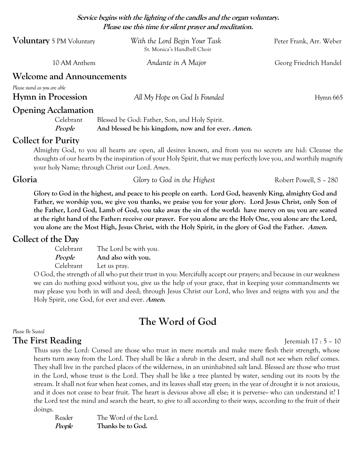**Service begins with the lighting of the candles and the organ voluntary. Please use this time for silent prayer and meditation.**

| <b>Voluntary</b> 5 PM Voluntary                           | With the Lord Begin Your Task<br>St. Monica's Handbell Choir | Peter Frank, Arr. Weber |
|-----------------------------------------------------------|--------------------------------------------------------------|-------------------------|
| 10 AM Anthem                                              | Andante in A Major                                           | Georg Friedrich Handel  |
| <b>Welcome and Announcements</b>                          |                                                              |                         |
| Please stand as you are able<br><b>Hymn in Procession</b> | All My Hope on God Is Founded                                | Hymn 665                |
| <b>Opening Acclamation</b>                                |                                                              |                         |
| Celebrant                                                 | Blessed be God: Father, Son, and Holy Spirit.                |                         |
| People                                                    | And blessed be his kingdom, now and for ever. Amen.          |                         |

## **Collect for Purity**

Almighty God, to you all hearts are open, all desires known, and from you no secrets are hid: Cleanse the thoughts of our hearts by the inspiration of your Holy Spirit, that we may perfectly love you, and worthily magnify your holy Name; through Christ our Lord. *Amen*.

**Gloria Glory to God in the Highest Robert Powell, S - 280** 

**Glory to God in the highest, and peace to his people on earth. Lord God, heavenly King, almighty God and Father, we worship you, we give you thanks, we praise you for your glory. Lord Jesus Christ, only Son of the Father, Lord God, Lamb of God, you take away the sin of the world: have mercy on us; you are seated at the right hand of the Father: receive our prayer. For you alone are the Holy One, you alone are the Lord, you alone are the Most High, Jesus Christ, with the Holy Spirit, in the glory of God the Father. Amen.**

# **Collect of the Day**

| Celebrant | The Lord be with you. |
|-----------|-----------------------|
| People    | And also with you.    |
| Celebrant | Let us pray.          |

O God, the strength of all who put their trust in you: Mercifully accept our prayers; and because in our weakness we can do nothing good without you, give us the help of your grace, that in keeping your commandments we may please you both in will and deed; through Jesus Christ our Lord, who lives and reigns with you and the Holy Spirit, one God, for ever and ever. **Amen.**

# **The Word of God**

## *Please Be Seated*

## **The First Reading** I. **Just 2018** Is remiah 17 : 5 – 10

Thus says the Lord: Cursed are those who trust in mere mortals and make mere flesh their strength, whose hearts turn away from the Lord. They shall be like a shrub in the desert, and shall not see when relief comes. They shall live in the parched places of the wilderness, in an uninhabited salt land. Blessed are those who trust in the Lord, whose trust is the Lord. They shall be like a tree planted by water, sending out its roots by the stream. It shall not fear when heat comes, and its leaves shall stay green; in the year of drought it is not anxious, and it does not cease to bear fruit. The heart is devious above all else; it is perverse- who can understand it? I the Lord test the mind and search the heart, to give to all according to their ways, according to the fruit of their doings.

Reader The Word of the Lord. **People Thanks be to God.**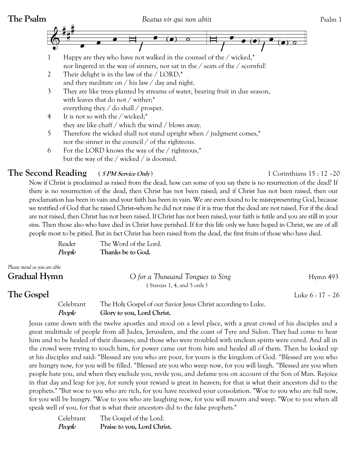

everything they / do shall / prosper.

- 4 It is not so with the / wicked;\* they are like chaff / which the wind / blows away.
- 5 Therefore the wicked shall not stand upright when / judgment comes,\* nor the sinner in the council / of the righteous.
- 6 For the LORD knows the way of the / righteous,\* but the way of the / wicked / is doomed.

# **The Second Reading** ( **5 PM Service Only** )1 Corinthians 15 : 12 –20

Now if Christ is proclaimed as raised from the dead, how can some of you say there is no resurrection of the dead? If there is no resurrection of the dead, then Christ has not been raised; and if Christ has not been raised, then our proclamation has been in vain and your faith has been in vain. We are even found to be misrepresenting God, because we testified of God that he raised Christ-whom he did not raise if it is true that the dead are not raised. For if the dead are not raised, then Christ has not been raised. If Christ has not been raised, your faith is futile and you are still in your sins. Then those also who have died in Christ have perished. If for this life only we have hoped in Christ, we are of all people most to be pitied. But in fact Christ has been raised from the dead, the first fruits of those who have died.

| Reader | The Word of the Lord. |
|--------|-----------------------|
| People | Thanks be to God.     |

| Please stand as you are able |                                  |                  |
|------------------------------|----------------------------------|------------------|
| <b>Gradual Hymn</b>          | O for a Thousand Tongues to Sing | Hymn $493$       |
|                              | (Stanzas 1, 4, and 5 only)       |                  |
| The Gospel                   |                                  | Luke $6:17 - 26$ |

Celebrant The Holy Gospel of our Savior Jesus Christ according to Luke. **People Glory to you, Lord Christ.** 

Jesus came down with the twelve apostles and stood on a level place, with a great crowd of his disciples and a great multitude of people from all Judea, Jerusalem, and the coast of Tyre and Sidon. They had come to hear him and to be healed of their diseases; and those who were troubled with unclean spirits were cured. And all in the crowd were trying to touch him, for power came out from him and healed all of them. Then he looked up at his disciples and said: "Blessed are you who are poor, for yours is the kingdom of God. "Blessed are you who are hungry now, for you will be filled. "Blessed are you who weep now, for you will laugh. "Blessed are you when people hate you, and when they exclude you, revile you, and defame you on account of the Son of Man. Rejoice in that day and leap for joy, for surely your reward is great in heaven; for that is what their ancestors did to the prophets." "But woe to you who are rich, for you have received your consolation. "Woe to you who are full now, for you will be hungry. "Woe to you who are laughing now, for you will mourn and weep. "Woe to you when all speak well of you, for that is what their ancestors did to the false prophets."

| Celebrant | The Gospel of the Lord.     |
|-----------|-----------------------------|
| People    | Praise to you, Lord Christ. |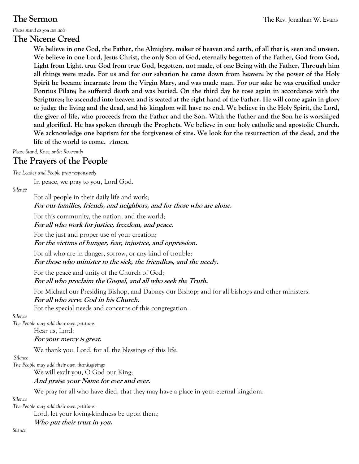*Please stand as you are able*

# **The Nicene Creed**

**We believe in one God, the Father, the Almighty, maker of heaven and earth, of all that is, seen and unseen. We believe in one Lord, Jesus Christ, the only Son of God, eternally begotten of the Father, God from God, Light from Light, true God from true God, begotten, not made, of one Being with the Father. Through him all things were made. For us and for our salvation he came down from heaven: by the power of the Holy Spirit he became incarnate from the Virgin Mary, and was made man. For our sake he was crucified under Pontius Pilate; he suffered death and was buried. On the third day he rose again in accordance with the Scriptures; he ascended into heaven and is seated at the right hand of the Father. He will come again in glory to judge the living and the dead, and his kingdom will have no end. We believe in the Holy Spirit, the Lord, the giver of life, who proceeds from the Father and the Son. With the Father and the Son he is worshiped and glorified. He has spoken through the Prophets. We believe in one holy catholic and apostolic Church. We acknowledge one baptism for the forgiveness of sins. We look for the resurrection of the dead, and the life of the world to come. Amen.**

*Please Stand, Knee,or Sit Reverently*

# **The Prayers of the People**

*The Leader and People pray responsively*

In peace, we pray to you, Lord God.

*Silence*

For all people in their daily life and work; **For our families, friends, and neighbors, and for those who are alone.**

For this community, the nation, and the world;

**For all who work for justice, freedom, and peace.**

For the just and proper use of your creation;

**For the victims of hunger, fear, injustice, and oppression.**

For all who are in danger, sorrow, or any kind of trouble; **For those who minister to the sick, the friendless, and the needy.**

For the peace and unity of the Church of God;

**For all who proclaim the Gospel, and all who seek the Truth.**

For Michael our Presiding Bishop, and Dabney our Bishop; and for all bishops and other ministers.

**For all who serve God in his Church.**

For the special needs and concerns of this congregation.

### *Silence*

*The People may add their own petitions*

Hear us, Lord;

**For your mercy is great.**

We thank you, Lord, for all the blessings of this life.

### *Silence*

*The People may add their own thanksgivings*

We will exalt you, O God our King;

## **And praise your Name for ever and ever.**

We pray for all who have died, that they may have a place in your eternal kingdom.

*Silence*

*The People may add their own petitions*

Lord, let your loving-kindness be upon them;

## **Who put their trust in you.**

*Silence*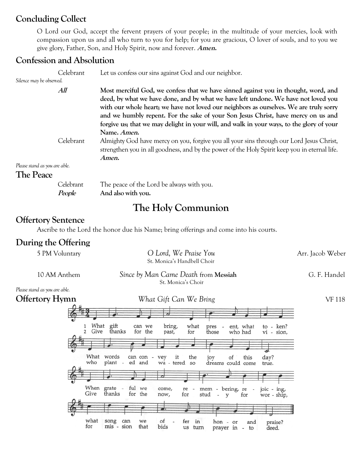# **Concluding Collect**

O Lord our God, accept the fervent prayers of your people; in the multitude of your mercies, look with compassion upon us and all who turn to you for help; for you are gracious, O lover of souls, and to you we give glory, Father, Son, and Holy Spirit, now and forever. **Amen.**

# **Confession and Absolution**

|                               | Celebrant           | Let us confess our sins against God and our neighbor.                                                                                                                                                                                                                                                                                                                                                                                                 |
|-------------------------------|---------------------|-------------------------------------------------------------------------------------------------------------------------------------------------------------------------------------------------------------------------------------------------------------------------------------------------------------------------------------------------------------------------------------------------------------------------------------------------------|
| Silence may be observed.      |                     |                                                                                                                                                                                                                                                                                                                                                                                                                                                       |
|                               | All                 | Most merciful God, we confess that we have sinned against you in thought, word, and<br>deed, by what we have done, and by what we have left undone. We have not loved you<br>with our whole heart; we have not loved our neighbors as ourselves. We are truly sorry<br>and we humbly repent. For the sake of your Son Jesus Christ, have mercy on us and<br>forgive us; that we may delight in your will, and walk in your ways, to the glory of your |
|                               | Celebrant           | Name. Amen.<br>Almighty God have mercy on you, forgive you all your sins through our Lord Jesus Christ,<br>strengthen you in all goodness, and by the power of the Holy Spirit keep you in eternal life.<br>Amen.                                                                                                                                                                                                                                     |
| Please stand as you are able. |                     |                                                                                                                                                                                                                                                                                                                                                                                                                                                       |
| The Peace                     |                     |                                                                                                                                                                                                                                                                                                                                                                                                                                                       |
|                               | Celebrant<br>People | The peace of the Lord be always with you.<br>And also with you.                                                                                                                                                                                                                                                                                                                                                                                       |

# **The Holy Communion**

# **Offertory Sentence**

Ascribe to the Lord the honor due his Name; bring offerings and come into his courts.

# **During the Offering**

| 5 PM Voluntary                                                     | O Lord, We Praise You<br>St. Monica's Handbell Choir                                                                                                                                                                                                                                                                                                                                                                                                                                                                                                                                       | Arr. Jacob Weber |
|--------------------------------------------------------------------|--------------------------------------------------------------------------------------------------------------------------------------------------------------------------------------------------------------------------------------------------------------------------------------------------------------------------------------------------------------------------------------------------------------------------------------------------------------------------------------------------------------------------------------------------------------------------------------------|------------------|
| 10 AM Anthem                                                       | Since by Man Came Death from <b>Messiah</b><br>St. Monica's Choir                                                                                                                                                                                                                                                                                                                                                                                                                                                                                                                          | G. F. Handel     |
| Please stand as you are able.                                      |                                                                                                                                                                                                                                                                                                                                                                                                                                                                                                                                                                                            |                  |
| <b>Offertory Hymn</b>                                              | What Gift Can We Bring                                                                                                                                                                                                                                                                                                                                                                                                                                                                                                                                                                     | <b>VF118</b>     |
| Give<br>$\overline{2}$<br>What words<br>who<br>Give<br>what<br>for | 72<br>What gift<br>bring,<br>what<br>can we<br>pres - ent, what<br>to - ken?<br>thanks<br>for the<br>for<br>past,<br>those<br>who had<br>vi - sion,<br>can con - vey<br>the<br>it<br>day?<br>this<br>joy<br>of<br>plant -<br>ed and<br>wa - tered so<br>dreams could come<br>true.<br>When grate - ful we<br>mem - bering, re -<br>come,<br>$\sim$<br>joic - ing,<br>re<br>thanks<br>for the<br>for<br>now,<br>stud - y<br>for<br>wor - ship,<br>song<br>of<br>can<br>fer<br>we<br>in<br>hon - or<br>praise?<br>and<br>mis - sion<br>that<br>bids<br>us turn<br>prayer in -<br>to<br>deed. |                  |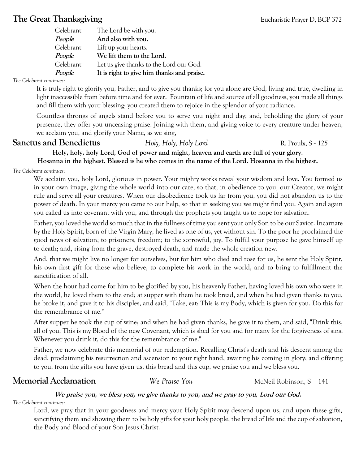# **The Great Thanksgiving Eucharistic Prayer D, BCP 372**

| Celebrant     | The Lord be with you.                      |
|---------------|--------------------------------------------|
| People        | And also with you.                         |
| Celebrant     | Lift up your hearts.                       |
| <i>People</i> | We lift them to the Lord.                  |
| Celebrant     | Let us give thanks to the Lord our God.    |
| <i>People</i> | It is right to give him thanks and praise. |
|               |                                            |

## *The Celebrant continues*:

It is truly right to glorify you, Father, and to give you thanks; for you alone are God, living and true, dwelling in light inaccessible from before time and for ever. Fountain of life and source of all goodness, you made all things and fill them with your blessing; you created them to rejoice in the splendor of your radiance.

Countless throngs of angels stand before you to serve you night and day; and, beholding the glory of your presence, they offer you unceasing praise. Joining with them, and giving voice to every creature under heaven, we acclaim you, and glorify your Name, as we sing,

# **Sanctus and Benedictus** *Holy, Holy, Holy Lord* R. Proulx, S - 125

**Holy, holy, holy Lord, God of power and might, heaven and earth are full of your glory.**

**Hosanna in the highest. Blessed is he who comes in the name of the Lord. Hosanna in the highest.**

*The Celebrant continues*:

We acclaim you, holy Lord, glorious in power. Your mighty works reveal your wisdom and love. You formed us in your own image, giving the whole world into our care, so that, in obedience to you, our Creator, we might rule and serve all your creatures. When our disobedience took us far from you, you did not abandon us to the power of death. In your mercy you came to our help, so that in seeking you we might find you. Again and again you called us into covenant with you, and through the prophets you taught us to hope for salvation.

Father, you loved the world so much that in the fullness of time you sent your only Son to be our Savior. Incarnate by the Holy Spirit, born of the Virgin Mary, he lived as one of us, yet without sin. To the poor he proclaimed the good news of salvation; to prisoners, freedom; to the sorrowful, joy. To fulfill your purpose he gave himself up to death; and, rising from the grave, destroyed death, and made the whole creation new.

And, that we might live no longer for ourselves, but for him who died and rose for us, he sent the Holy Spirit, his own first gift for those who believe, to complete his work in the world, and to bring to fulfillment the sanctification of all.

When the hour had come for him to be glorified by you, his heavenly Father, having loved his own who were in the world, he loved them to the end; at supper with them he took bread, and when he had given thanks to you, he broke it, and gave it to his disciples, and said, "Take, eat: This is my Body, which is given for you. Do this for the remembrance of me."

After supper he took the cup of wine; and when he had given thanks, he gave it to them, and said, "Drink this, all of you: This is my Blood of the new Covenant, which is shed for you and for many for the forgiveness of sins. Whenever you drink it, do this for the remembrance of me."

Father, we now celebrate this memorial of our redemption. Recalling Christ's death and his descent among the dead, proclaiming his resurrection and ascension to your right hand, awaiting his coming in glory; and offering to you, from the gifts you have given us, this bread and this cup, we praise you and we bless you.

# **Memorial Acclamation** *We Praise You* McNeil Robinson, S - 141

## **We praise you, we bless you, we give thanks to you, and we pray to you, Lord our God.** *The Celebrant continues*:

Lord, we pray that in your goodness and mercy your Holy Spirit may descend upon us, and upon these gifts, sanctifying them and showing them to be holy gifts for your holy people, the bread of life and the cup of salvation, the Body and Blood of your Son Jesus Christ.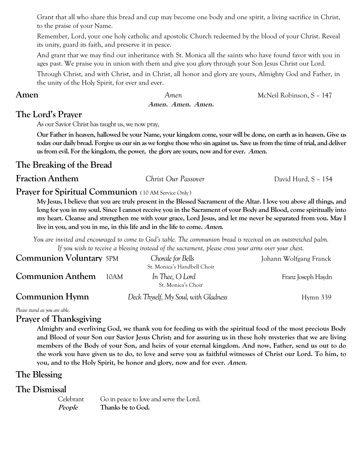Grant that all who share this bread and cup may become one body and one spirit, a living sacrifice in Christ, to the praise of your Name.

Remember, Lord, your one holy catholic and apostolic Church redeemed by the blood of your Christ. Reveal its unity, guard its faith, and preserve it in peace.

And grant that we may find our inheritance with St. Monica all the saints who have found favor with you in ages past. We praise you in union with them and give you glory through your Son Jesus Christ our Lord.

Through Christ, and with Christ, and in Christ, all honor and glory are yours, Almighty God and Father, in the unity of the Holy Spirit, for ever and ever.

**Amen** *Amen Amen McNeil Robinson, S – 147* **Amen. Amen. Amen.**

# **The Lord's Prayer**

As our Savior Christ has taught us, we now pray,

**Our Father in heaven, hallowed be your Name, your kingdom come, your will be done, on earth as in heaven. Give us today our daily bread. Forgive us our sin as we forgive those who sin against us. Save us from the time of trial, and deliver us from evil. For the kingdom, the power, the glory are yours, now and for ever. Amen.**

# **The Breaking of the Bread**

**Fraction Anthem** *Christ Our Passover* David Hurd, S – 154

# **Prayer for Spiritual Communion** (10 AM Service Only)

**My Jesus, I believe that you are truly present in the Blessed Sacrament of the Altar. I love you above all things, and long for you in my soul. Since I cannot receive you in the Sacrament of your Body and Blood, come spiritually into my heart. Cleanse and strengthen me with your grace, Lord Jesus, and let me never be separated from you. May I live in you, and you in me, in this life and in the life to come. Amen.**

*You are invited and encouraged to come to God's table. The communion bread is received on an outstretched palm. If you wish to receive a blessing instead of the sacrament, please cross your arms over your chest.*

| <b>Communion Voluntary 5PM</b> |      | Chorale for Bells<br>St. Monica's Handbell Choir | Johann Wolfgang Franck |
|--------------------------------|------|--------------------------------------------------|------------------------|
| <b>Communion Anthem</b>        | 10AM | In Thee, O Lord<br>St. Monica's Choir            | Franz Joseph Haydn     |
| Communion Hymn                 |      | Deck Thyself, My Soul, with Gladness             | $Hymn$ 339             |

*Please stand as you are able.*

## **Prayer of Thanksgiving**

**Almighty and everliving God, we thank you for feeding us with the spiritual food of the most precious Body and Blood of your Son our Savior Jesus Christ; and for assuring us in these holy mysteries that we are living members of the Body of your Son, and heirs of your eternal kingdom. And now, Father, send us out to do the work you have given us to do, to love and serve you as faithful witnesses of Christ our Lord. To him, to you, and to the Holy Spirit, be honor and glory, now and for ever. Amen.**

# **The Blessing**

# **The Dismissal**

| Celebrant | Go in peace to love and serve the Lord. |
|-----------|-----------------------------------------|
| People    | Thanks be to God.                       |